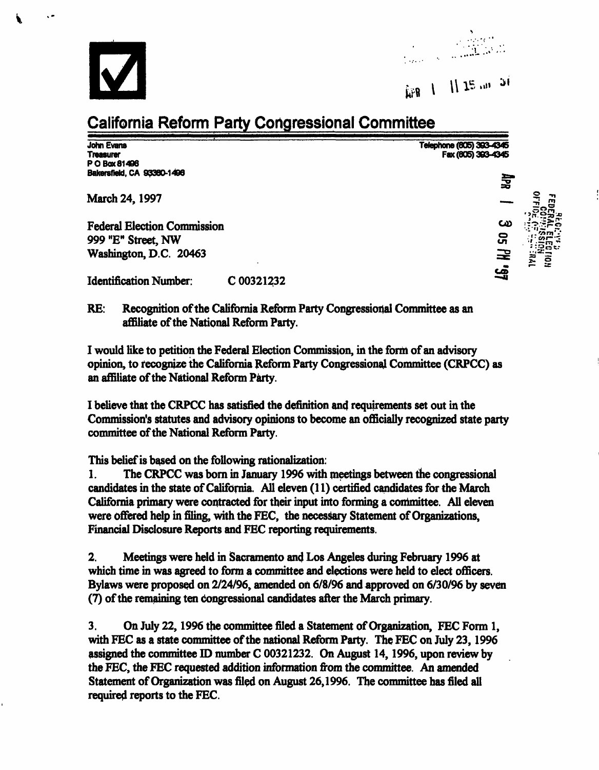

Í



## APR 1 11 15 apr 51

## California Reform Party Congressional Committee

John Evans Telephone (805) 393-4345 PO Box 81406 BakersfiekJ, CA 93380-1496 ^

Fax (805) 383-4345

**HPR** 

۔<br>يف

March 24, 1997

Federal Election Commission C4> 999 "E" Street, NW 5 Washington, D.C. 20463

Identification Number: C 00321232

RE: Recognition of the California Reform Party Congressional Committee as an affiliate of the National Reform Party.

I would like to petition the Federal Election Commission, in the form of an advisory opinion, to recognize the California Reform Party Congressional Committee (CRPCC) as an affiliate of the National Reform Party.

I believe that the CRPCC has satisfied the definition and requirements set out in the Commission's statutes and advisory opinions to become an officially recognized state party committee of the National Reform Party.

This belief is based on the following rationalization:

1. The CRPCC was born in January 1996 with meetings between the congressional candidates in the state of California. All eleven (11) certified candidates for the March California primary were contracted for their input into forming a committee. All eleven were offered help in filing, with the FEC, the necessary Statement of Organizations, Financial Disclosure Reports and FEC reporting requirements.

2. Meetings were held in Sacramento and Los Angeles during February 1996 at which time in was agreed to form a committee and elections were held to elect officers. Bylaws were proposed on 2/24/96, amended on 6/8/96 and approved on 6/30/96 by seven (7) of the remaining ten congressional candidates after the March primary.

3. On July 22,1996 the committee filed a Statement of Organization, FEC Form 1, with FEC as a state committee of the national Reform Party. The FEC on July 23,1996 assigned the committee ID number C 00321232. On August 14,1996, upon review by the FEC, the FEC requested addition information from the committee. An amended Statement of Organization was filed on August 26,1996. The committee has filed all required reports to the FEC.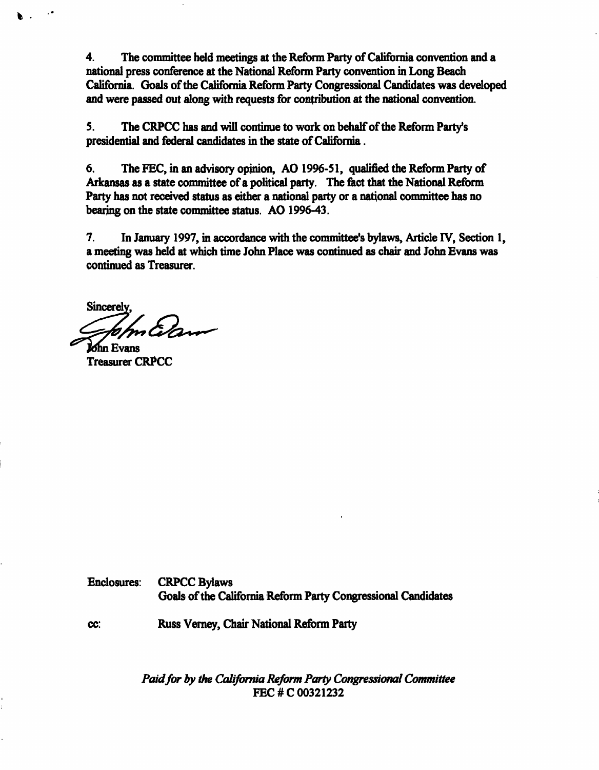4. The committee held meetings at the Reform Party of California convention and a national press conference at the National Reform Party convention in Long Beach California. Goals of the California Reform Party Congressional Candidates was developed and were passed out along with requests for contribution at the national convention.

5. The CRPCC has and will continue to work on behalf of the Reform Party's presidential and federal candidates in the state of California.

6. The FEC, in an advisory opinion, AO 1996-51, qualified the Reform Party of Arkansas as a state committee of a political party. The fact that the National Reform Party has not received status as either a national party or a national committee has no bearing on the state committee status. AO 1996-43.

7. In January 1997, in accordance with the committee's bylaws, Article IV, Section 1, a meeting was held at which time John Place was continued as chair and John Evans was continued as Treasurer.

**Sincerely** 

Evans Treasurer CRPCC

Ъ.

Enclosures: CRPCC Bylaws Goals of the California Reform Party Congressional Candidates

cc: Russ Verney, Chair National Reform Party

Paid for by the California Reform Party Congressional Committee FEC #C 00321232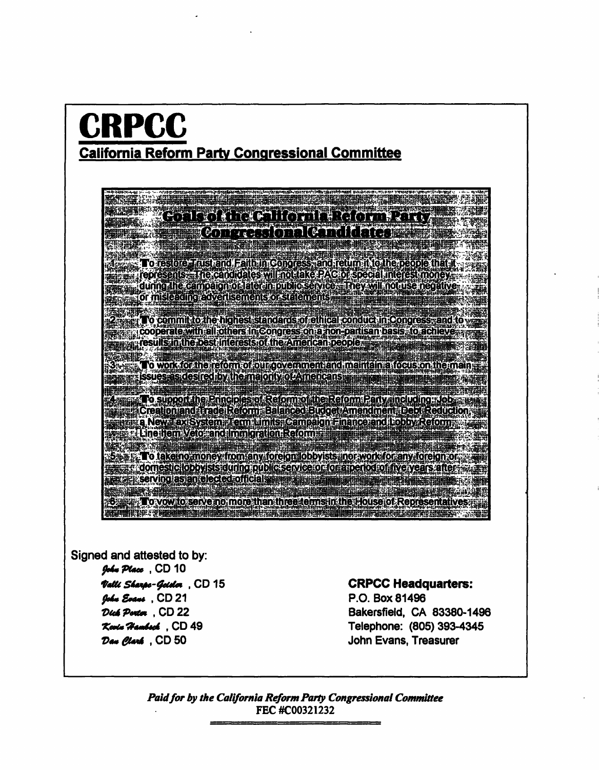### CRPCC California Reform Party Congressional Committee

# <u> Estado (al Calico di Rominico)</u>

NA 1999 METAL KORSKAN KORSKA I I FRAN BERSKAN HUSIGEN OFTERFORMATIET I DE STATISTIKE PRODUKTIG DE DE STATISTIK<br>De statistike om de til en statistike i National Statistike (1991) i 1991 med 1991 med 1991 med 1991 med 1991 **To restore Trust and Faith in Congress, and return it to the people that it** represents. The candidates will not take PAC or special interest money.<br>In a during the campaign of later inpublic service. They will not use negative **Balling Criminal Company of Campus Company of The Company of The Company of The Company of Company of Company** 

To commit to the highest standards of ethical conduct in Congress, and to **Example 2009 per servit all** others in Congress on a non-partisan basis; to achieve 3 the **Representation the best interests of the American beople. The manufacture of the American beople** 

3. To work for the reform of our government and maintain a focus on the main put it issues as desired by the majority of Americans and in participating the part

MEL. 4 To support the Principles of Reform of the Reform Party, including : Job ... ...<br>[3] [ [Creation and Trade Reform Balanced Budget Amendment Debt Reduction; Later La New Tax System: Term Limits: Campaign Finance and Lobby Reform s a Eine Hem Veto and Immigration Reform

.<br>5. Prince - John Barne, american prince and prince and the state of the state of the state of the state of the<br>5. Prince and the state of the state of the state of the state of the state of the state of the state of the para a domestic looby sisteming public service of for a period of five years after  $\pi$ a comesteroopyists au motouorese vice or to rathence of the years after<br>Tel: Serving as an elected official speed and complete the service state of the service of the service of the<br>Notificated the speed of the service of

To vow to serve no more than three terms in the House of Representative 

Signed and attested to by: John Place, CD 10 Valli Sharpe-Geider CD 15 John Evans , CD 21 Dick Portor, CD 22 Kevin Hambsch , CD 49 Dan Clark , CD 50

#### CRPCC Headquarters:

P.O. Box81496 Bakersfield, CA 83380-1496 Telephone: (805) 393-4345 John Evans, Treasurer

Paid for by the California Reform Party Congressional Committee FEC #C00321232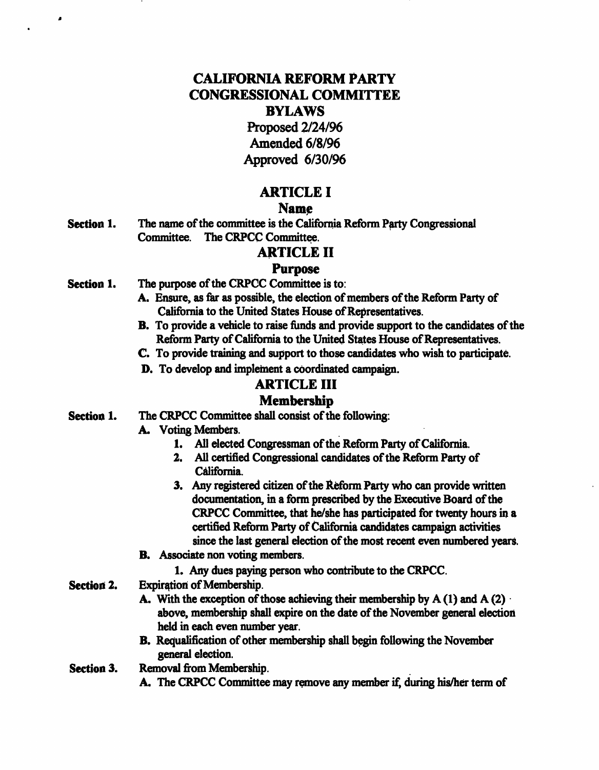#### CALIFORNIA REFORM PARTY CONGRESSIONAL COMMITTEE BYLAWS

Proposed 2/24/96 Amended 6/8/96 Approved 6/30/96

#### ARTICLE I

#### Name

Section 1. The name of the committee is the California Reform Party Congressional Committee. The CRPCC Committee.

#### ARTICLE II

#### Purpose

Section 1. The purpose of the CRPCC Committee is to:

ä

- A. Ensure, as far as possible, the election of members of the Reform Party of California to the United States House of Representatives.
- B. To provide a vehicle to raise funds and provide support to the candidates of the Reform Party of California to the United States House of Representatives.
- C. To provide training and support to those candidates who wish to participate.
- D. To develop and implement a coordinated campaign.

#### ARTICLE III

#### Membership

- Section 1. The CRPCC Committee shall consist of the following:
	- A. Voting Members.
		- 1. All elected Congressman of the Reform Party of California.
		- 2. All certified Congressional candidates of the Reform Party of California.
		- 3. Any registered citizen of the Reform Party who can provide written documentation, in a form prescribed by the Executive Board of the CRPCC Committee, that he/she has participated for twenty hours in a certified Reform Party of California candidates campaign activities since the last general election of the most recent even numbered years.
	- B. Associate non voting members.
		- 1. Any dues paying person who contribute to the CRPCC.
- Section 2. Expiration of Membership.
	- A. With the exception of those achieving their membership by  $A(1)$  and  $A(2)$ . above, membership shall expire on the date of the November general election held in each even number year.
	- B. Requalification of other membership shall begin following the November general election.
- Section 3. Removal from Membership.
	- A. The CRPCC Committee may remove any member if, during his/her term of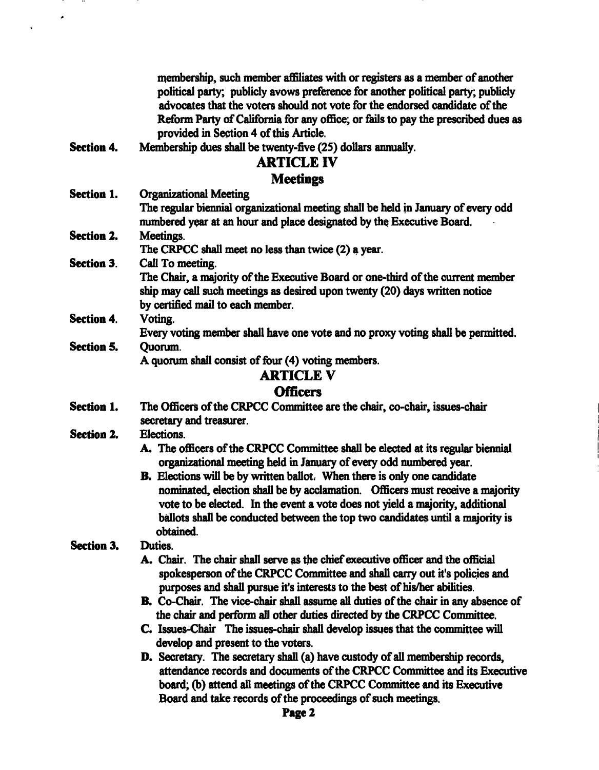membership, such member affiliates with or registers as a member of another political party; publicly avows preference for another political party; publicly advocates that the voters should not vote for the endorsed candidate of the Reform Party of California for any office; or fails to pay the prescribed dues as provided in Section 4 of this Article.

Section 4. Membership dues shall be twenty-five (25) dollars annually.

#### ARTICLE IV

#### **Meetings**

Section 1. Organizational Meeting

The regular biennial organizational meeting shall be held in January of every odd numbered year at an hour and place designated by the Executive Board.

Section 2. Meetings.

The CRPCC shall meet no less than twice (2) a year.

Section 3. Call To meeting.

The Chair, a majority of the Executive Board or one-third of the current member ship may call such meetings as desired upon twenty (20) days written notice by certified mail to each member.

Section 4. Voting.

Every voting member shall have one vote and no proxy voting shall be permitted.

Section 5. Quorum.

A quorum shall consist of four (4) voting members.

#### ARTICLE V

#### **Officers**

- Section 1. The Officers of the CRPCC Committee are the chair, co-chair, issues-chair secretary and treasurer.
- Section 2. Elections.
	- A. The officers of the CRPCC Committee shall be elected at its regular biennial organizational meeting held in January of every odd numbered year.
	- B. Elections will be by written ballot; When there is only one candidate nominated, election shall be by acclamation. Officers must receive a majority vote to be elected. In the event a vote does not yield a majority, additional ballots shall be conducted between the top two candidates until a majority is obtained.

#### Section 3. Duties.

- A. Chair. The chair shall serve as the chief executive officer and the official spokesperson of the CRPCC Committee and shall carry out it's policies and purposes and shall pursue it's interests to the best of his/her abilities.
- B. Co-Chair. The vice-chair shall assume all duties of the chair in any absence of the chair and perform all other duties directed by the CRPCC Committee.
- C. Issues-Chair The issues-chair shall develop issues that the committee will develop and present to the voters.
- D. Secretary. The secretary shall (a) have custody of all membership records, attendance records and documents of the CRPCC Committee and its Executive board; (b) attend all meetings of the CRPCC Committee and its Executive Board and take records of the proceedings of such meetings.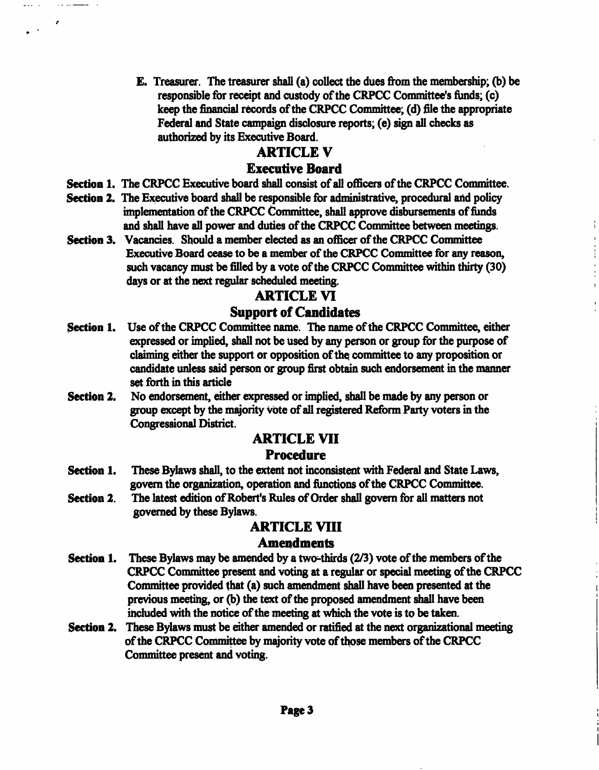E. Treasurer. The treasurer shall (a) collect the dues from the membership; (b) be responsible for receipt and custody of the CRPCC Committee's funds; (c) keep the financial records of the CRPCC Committee; (d) file the appropriate Federal and State campaign disclosure reports; (e) sign all checks as authorized by its Executive Board.

#### ARTICLE V

#### Executive Board

Section 1. The CRPCC Executive board shall consist of all officers of the CRPCC Committee.

 $\sim 10^{-1}$ 

٠  $\sim 10^{-11}$ 

- Section 2. The Executive board shall be responsible for administrative, procedural and policy implementation of the CRPCC Committee, shall approve disbursements of funds and shall have all power and duties of the CRPCC Committee between meetings.
- Section 3. Vacancies. Should a member elected as an officer of the CRPCC Committee Executive Board cease to be a member of the CRPCC Committee for any reason, such vacancy must be filled by a vote of the CRPCC Committee within thirty (30) days or at the next regular scheduled meeting.

#### ARTICLE VI

#### Support of Candidates

- Section 1. Use of the CRPCC Committee name. The name of the CRPCC Committee, either expressed or implied, shall not be used by any person or group for the purpose of claiming either the support or opposition of the. committee to any proposition or candidate unless said person or group first obtain such endorsement in the manner set forth in this article
- Section 2. No endorsement, either expressed or implied, shall be made by any person or group except by the majority vote of all registered Reform Party voters in the Congressional District.

#### ARTICLE VII

#### **Procedure**

- Section 1. These Bylaws shall, to the extent not inconsistent with Federal and State Laws, govern the organization, operation and functions of the CRPCC Committee.
- Section 2. The latest edition of Robert's Rules of Order shall govern for all matters not governed by these Bylaws.

#### ARTICLE VIII

#### Amendments

- Section 1. These Bylaws may be amended by a two-thirds (2/3) vote of the members of the CRPCC Committee present and voting at a regular or special meeting of the CRPCC Committee provided that (a) such amendment shall have been presented at the previous meeting, or (b) the text of the proposed amendment shall have been included with the notice of the meeting at which the vote is to be taken.
- Section 2. These Bylaws must be either amended or ratified at the next organizational meeting of the CRPCC Committee by majority vote of those members of the CRPCC Committee present and voting.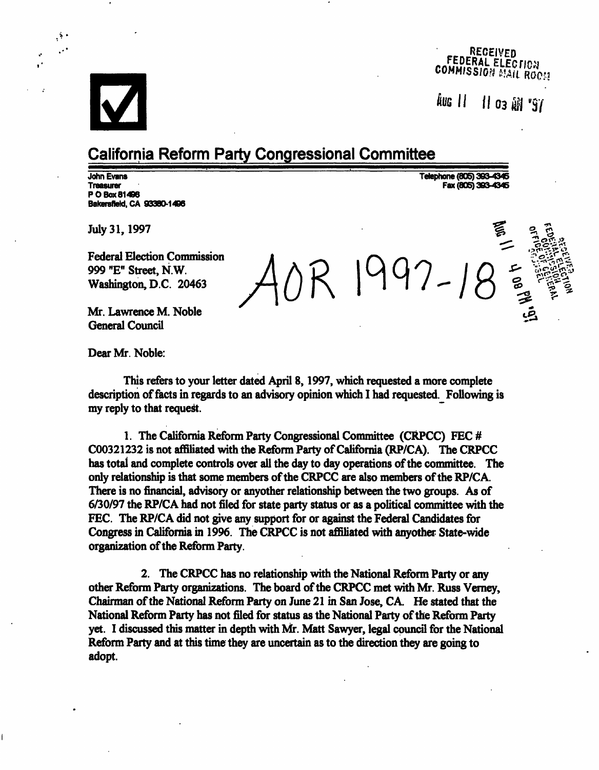

 $\mathcal{O}^{\mathcal{O}}$ 

#### RECEIVED<br>FEDERAL ELECTION **COMMISSION MAIL ROOM**

fell || 03 tiff's/

^^"

#### California Reform Party Congressional Committee

John Evans Telephone (805) 393-4345 PO Box 81496 Bakersfield, CA 93380-1496

Fax (805) 393-4345

July 31, 1997

Federal Election Commission 999 "E" Street, N.W. Washington, D.C. 20463

Mr. Lawrence M. Noble General Council

Dear Mr. Noble:

This refers to your letter dated April 8,1997, which requested a more complete description of facts in regards to an advisory opinion which I had requested. Following is my reply to that request.

1. The California Reform Party Congressional Committee (CRPCC) FEC # C00321232 is not affiliated with the Reform Party of California (RP/CA). The CRPCC has total and complete controls over all the day to day operations of the committee. The only relationship is that some members of the CRPCC are also members of the RP/CA. There is no financial, advisory or anyother relationship between the two groups. As of 6/30/97 the RP/CA had not filed for state party status or as a political committee with the FEC. The RP/CA did not give any support for or against the Federal Candidates for Congress in California in 1996. The CRPCC is not affiliated with anyother State-wide organization of the Reform Party.

2. The CRPCC has no relationship with the National Reform Party or any other Reform Party organizations. The board of the CRPCC met with Mr. Russ Verney, Chairman of the National Reform Party on June 21 in San Jose, CA. He stated that the National Reform Party has not filed for status as the National Party of the Reform Party yet. I discussed this matter in depth with Mr. Matt Sawyer, legal council for the National Reform Party and at this time they are uncertain as to the direction they are going to adopt.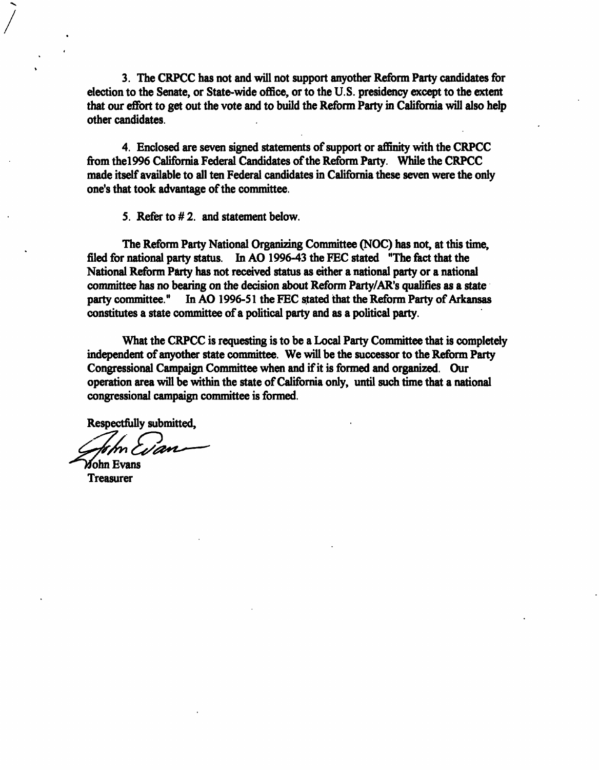3. The CRPCC has not and will not support anyother Reform Party candidates for election to the Senate, or State-wide office, or to the U.S. presidency except to the extent that our effort to get out the vote and to build the Reform Party in California will also help other candidates.

4. Enclosed are seven signed statements of support or affinity with the CRPCC from the!996 California Federal Candidates of the Reform Party. While the CRPCC made itself available to all ten Federal candidates in California these seven were the only one's that took advantage of the committee.

5. Refer to #2. and statement below.

The Reform Party National Organizing Committee (NOC) has not, at this time, filed for national party status. In AO 1996-43 the FEC stated "The fact that the National Reform Party has not received status as either a national party or a national committee has no bearing on the decision about Reform Party/AR's qualifies as a state party committee." In AO 1996-51 the FEC stated that the Reform Party of Arkansas constitutes a state committee of a political party and as a political party.

What the CRPCC is requesting is to be a Local Party Committee that is completely independent of anyother state committee. We will be the successor to the Reform Party Congressional Campaign Committee when and if it is formed and organized. Our operation area will be within the state of California only, until such time that a national congressional campaign committee is formed.

Respectfully submitted,

John Evans

Treasurer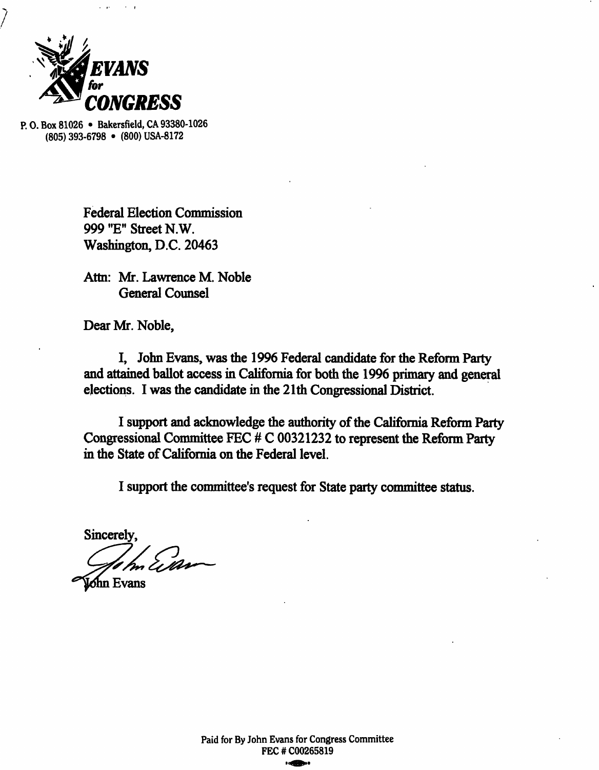

P.O.Box81026 • Bakersfield,CA93380-1026 (805) 393-6798 • (800) USA-8172

> Federal Election Commission 999 "E" Street N.W. Washington, D.C. 20463

Attn: Mr. Lawrence M. Noble General Counsel

Dear Mr. Noble,

I, John Evans, was the 1996 Federal candidate for the Reform Party and attained ballot access in California for both the 1996 primary and general elections. I was the candidate in the 21th Congressional District.

I support and acknowledge the authority of the California Reform Party Congressional Committee FEC # C 00321232 to represent the Reform Party in the State of California on the Federal level.

Sincerely, m Ein

hn Evans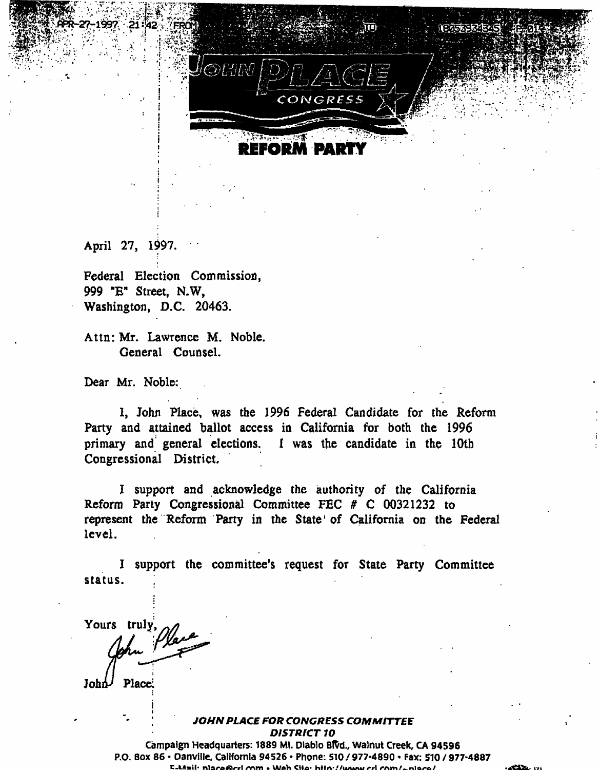

Mp^iF^p!;^'-;

April 27, 1997.

Federal Election Commission, 999 "E" Street, N.W, Washington, D.C. 20463.

Attn: Mr. Lawrence M. Noble. General Counsel.

Dear Mr. Noble:

I, John Place, was the 1996 Federal Candidate for the Reform Party and attained ballot access in California for both the 1996 primary and general elections. I was the candidate in the 10th Congressional District.

I support and acknowledge the authority of the California Reform Party Congressional Committee FEC # C 00321232 to represent the Reform Party in the State' of California on the Federal level.

J support the committee's request for State Party Committee status.

Yours truly,  $John$  Place.

#### ; JOHN PLACE FOR CONGRESS COMMITTEE DISTRICT 10

Campaign Headquarters: 1889 Ml. Diablo Bftd., Walnut Creek, CA 94596 P.O. Box 86 • Danville, California 94526 • Phone: 510 / 977-4890 • Fax: 510 / 977-4887 E-Mail: niare@rri rom • Web Site: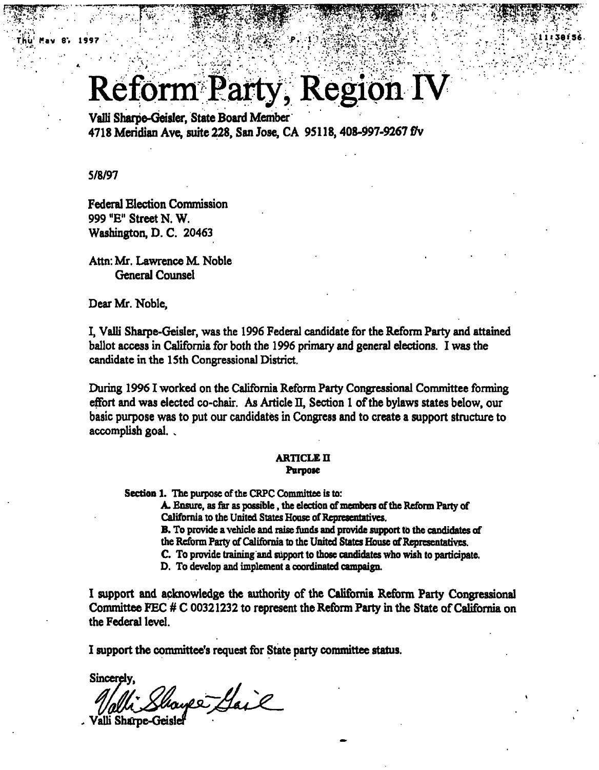## **Reform Party, Region IV**

ThlT Wav 8', 1997 :".. : ... 0?S^&^ -.. >>• ; r..-l.":

 $\mathcal{F}^{\mathcal{F}}_{\mathcal{F}}$ :

 $\mathcal{P}=\{v\in\mathbb{R}^d\mid\{v\in\mathbb{R}^d\mid\cdots\mid\cdot\mid\cdot\mid\cdot\mid\}$ 

 $\cdot$  :  $\cdot$  ,  $\cdot$  ,  $\cdot$  ,  $\cdot$  ,  $\cdot$  ,  $\cdot$  ,  $\cdot$  ,  $\cdot$  ,  $\cdot$  ,  $\cdot$  ,  $\cdot$  ,  $\cdot$  ,  $\cdot$  ,  $\cdot$  ,  $\cdot$  ,  $\cdot$  ,  $\cdot$  ,  $\cdot$  ,  $\cdot$  ,  $\cdot$  ,  $\cdot$  ,  $\cdot$  ,  $\cdot$  ,  $\cdot$  ,  $\cdot$  ,  $\cdot$  ,  $\cdot$  ,  $\cdot$  ,  $\cdot$  ,  $\cdot$  ,  $\cdot$ 

 $\sim$   $\frac{1}{2}$   $\frac{1}{2}$   $\frac{1}{2}$   $\frac{1}{2}$   $\frac{1}{2}$   $\frac{1}{2}$ 

 $\mathbb{R}^2$  ).

 $\sim$   $\sim$   $\sim$   $\sim$   $\sim$   $\sim$ 

Valli Sharpe-Geisler, State Board Member 4718 Meridian Ave, suite 228, San Jose, CA 95118, 408-997-9267 fly

5/8/97

Federal Election Commission 999 "E" Street N.W. Washington, D. C. 20463

Attn: Mr. Lawrence M Noble General Counsel

Dear Mr. Noble,

I, Valli Sharpe-Geisler, was the 1996 Federal candidate for the Reform Party and attained ballot access in California for both the 1996 primary and general elections. I was the candidate in the 15th Congressional District.

During 1996 1 worked on the California Reform Party Congressional Committee forming effort and was elected co-chair. As Article II, Section I of the bylaws states below, our basic purpose was to put our candidates in Congress and to create a support structure to accomplish goal. .

#### **ARTICLE II** Purpose

Section 1. The purpose of the CRPC Committee is to:

A. Ensure, as far as possible , the election of members of the Reform Party of California to the United States House of Representatives.

B. To provide a vehicle and raise funds and provide support to the candidates of the Reform Party of California to the United States House of Representatives.

C. To provide training and support to those candidates who wish to participate.

D. To develop and implement a coordinated campaign.

I support and acknowledge the authority of the California Reform Party Congressional Committee FEC # C 00321232 to represent the Reform Party in the State of California on the Federal level.

I support the committee's request for State party committee status.

Sincerely,

Valli Shayes Gail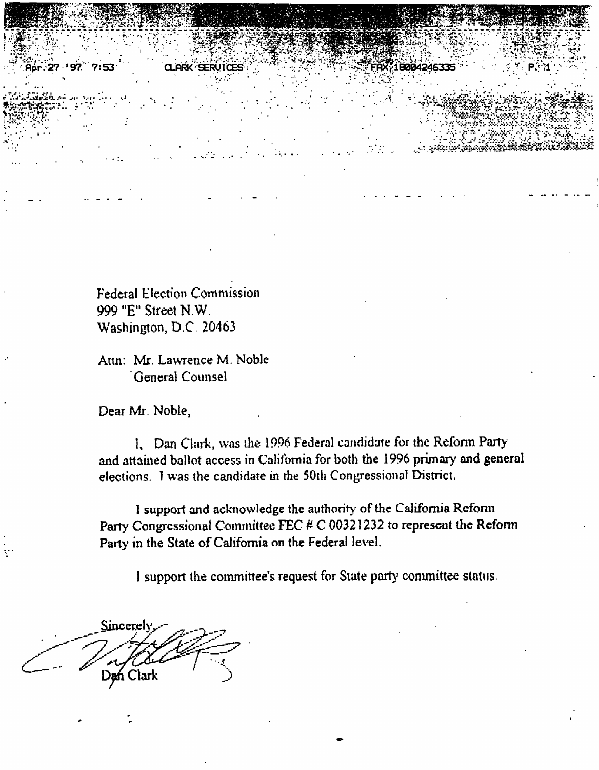Federal Election Commission 999 "E" Street N.W. Washington, D.C. 20463

Attn: Mr. Lawrence M. Noble General Counsel

Dear Mr. Noble,

Aar. 27 '97 7:53

1. Dan Clark, was the 1996 Federal candidate for the Reform Party and attained ballot access in California for both the 1996 primary and general elections. I was the candidate in the 50th Congressional District.

18004246335

I support and acknowledge the authority of the California Reform Party Congressional Committee FEC # C 00321232 to represent the Reform Party in the State of California on the Federal level.

Sincerel Dan Clark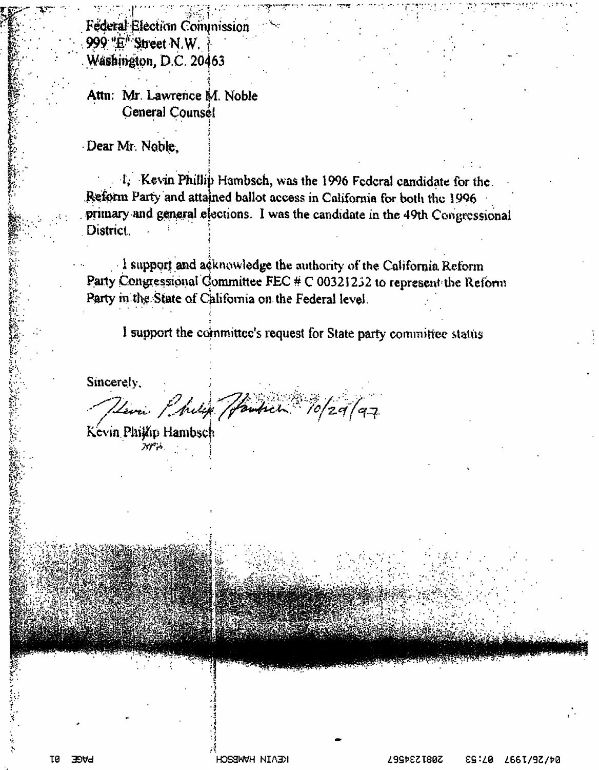Federal Election Commission 999 "E" Street N.W. Washington, D.C. 20463

Attn: Mr. Lawrence M. Noble General Counsé!

Dear Mr. Noble,

1, Kevin Phillip Hambsch, was the 1996 Federal candidate for the. Reform Party and attained ballot access in California for both the 1996 primary and general elections. I was the candidate in the 49th Congressional District.

I support and acknowledge the authority of the California Reform Party Congressional Committee FEC  $#C$  00321232 to represent the Reform Party in the State of California on the Federal level.

I support the committee's request for State party committee status

Sincerely.

Herri Philip Handsch 10/29/97

Kevin Phijap Hambsch アパネ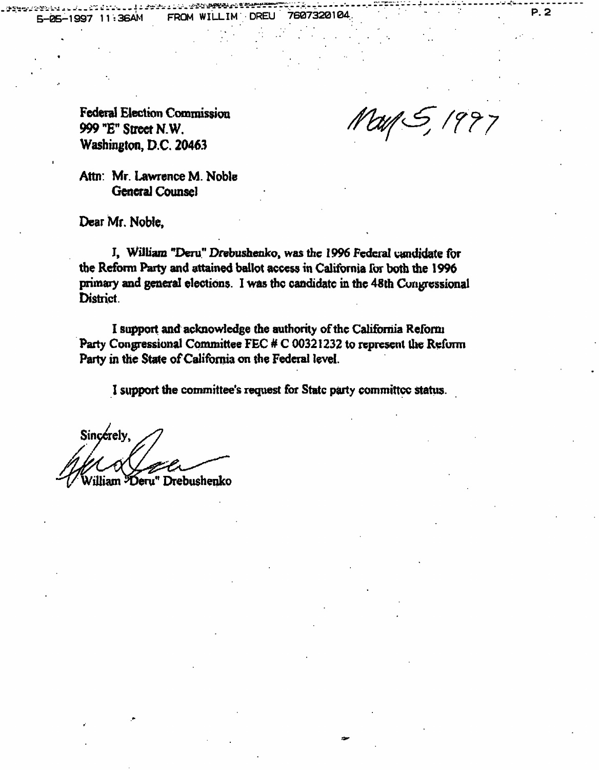5-05-1997 11:36AM FROM WILLIMDREU 7607320104, . ' . P. 2

 $\mathbb{R}^{n}$  is a subset of  $\mathbb{R}^{n}$  in the set of  $\mathbb{R}^{n}$  . If  $\mathbb{R}^{n}$  is the following  $\mathbb{R}^{n}$  , i.e.  $\mathbb{R}^{n}$  ,  $\mathbb{R}^{n}$ 

Federal Election Commission 999 "E" Street N.W. Washington, D.C. 20463

May 5, 1997

Attn: Mr. Lawrence M. Noble General Counsel

Dear Mr. Noble,

I. William "Deru" Drebushenko, was the 1996 Federal candidate for the Reform Party and attained ballot access in California for both the 1996 primary and general elections. I was the candidate in the 48th Congressional District.

I support and acknowledge the authority of the California Reform Party Congressional Committee FEC # C 00321232 to represent the Reform Parry in the State of California on the Federal level.

Sincerely,<br>*het a*d illiam Heru" Drebushenko